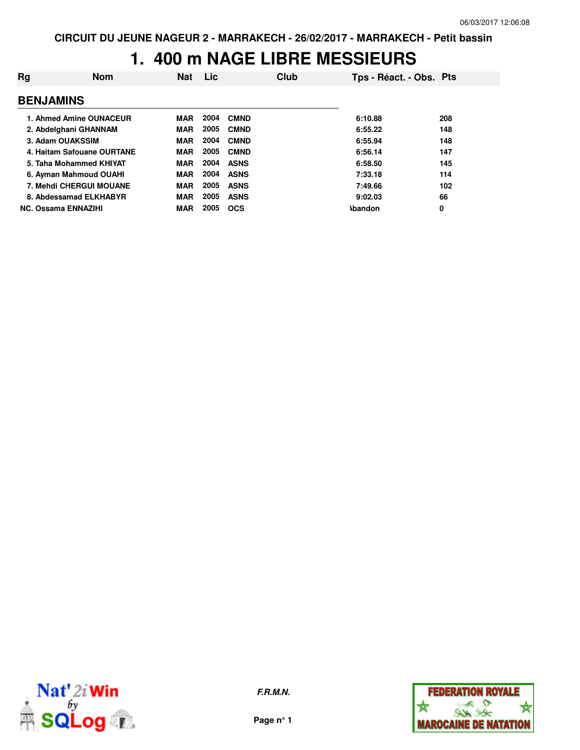#### **1. 400 m NAGE LIBRE MESSIEURS**

| Rg               | <b>Nom</b>                 | <b>Nat</b> | <b>Lic</b> |             | <b>Club</b> | Tps - Réact. - Obs. Pts |     |
|------------------|----------------------------|------------|------------|-------------|-------------|-------------------------|-----|
| <b>BENJAMINS</b> |                            |            |            |             |             |                         |     |
|                  | 1. Ahmed Amine OUNACEUR    | <b>MAR</b> | 2004       | <b>CMND</b> |             | 6:10.88                 | 208 |
|                  | 2. Abdelghani GHANNAM      | <b>MAR</b> | 2005       | <b>CMND</b> |             | 6:55.22                 | 148 |
|                  | 3. Adam OUAKSSIM           | <b>MAR</b> | 2004       | <b>CMND</b> |             | 6:55.94                 | 148 |
|                  | 4. Haitam Safouane OURTANE | <b>MAR</b> | 2005       | <b>CMND</b> |             | 6:56.14                 | 147 |
|                  | 5. Taha Mohammed KHIYAT    | MAR        | 2004       | <b>ASNS</b> |             | 6:58.50                 | 145 |
|                  | 6. Ayman Mahmoud OUAHI     | <b>MAR</b> | 2004       | <b>ASNS</b> |             | 7:33.18                 | 114 |
|                  | 7. Mehdi CHERGUI MOUANE    | <b>MAR</b> | 2005       | <b>ASNS</b> |             | 7:49.66                 | 102 |
|                  | 8. Abdessamad ELKHABYR     | <b>MAR</b> | 2005       | <b>ASNS</b> |             | 9:02.03                 | 66  |
|                  | <b>NC. Ossama ENNAZIHI</b> | <b>MAR</b> | 2005       | <b>OCS</b>  |             | <b>Abandon</b>          | 0   |



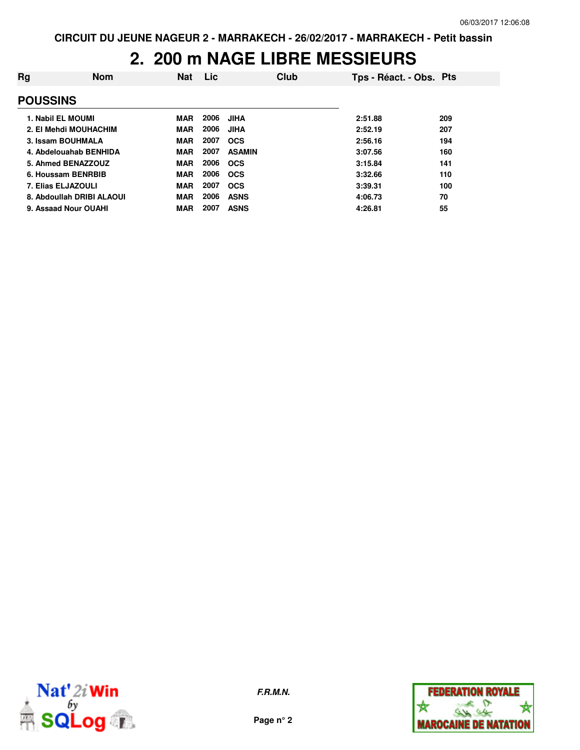#### **2. 200 m NAGE LIBRE MESSIEURS**

| Rg              | <b>Nom</b>                | <b>Nat</b> | Lic  | Club          | Tps - Réact. - Obs. Pts |     |
|-----------------|---------------------------|------------|------|---------------|-------------------------|-----|
| <b>POUSSINS</b> |                           |            |      |               |                         |     |
|                 | 1. Nabil EL MOUMI         | <b>MAR</b> | 2006 | JIHA          | 2:51.88                 | 209 |
|                 | 2. El Mehdi MOUHACHIM     | <b>MAR</b> | 2006 | JIHA          | 2:52.19                 | 207 |
|                 | 3. Issam BOUHMALA         | <b>MAR</b> | 2007 | <b>OCS</b>    | 2:56.16                 | 194 |
|                 | 4. Abdelouahab BENHIDA    | <b>MAR</b> | 2007 | <b>ASAMIN</b> | 3:07.56                 | 160 |
|                 | 5. Ahmed BENAZZOUZ        | <b>MAR</b> | 2006 | <b>OCS</b>    | 3:15.84                 | 141 |
|                 | 6. Houssam BENRBIB        | <b>MAR</b> | 2006 | <b>OCS</b>    | 3:32.66                 | 110 |
|                 | 7. Elias ELJAZOULI        | <b>MAR</b> | 2007 | <b>OCS</b>    | 3:39.31                 | 100 |
|                 | 8. Abdoullah DRIBI ALAOUI | <b>MAR</b> | 2006 | <b>ASNS</b>   | 4:06.73                 | 70  |
|                 | 9. Assaad Nour OUAHI      | <b>MAR</b> | 2007 | <b>ASNS</b>   | 4:26.81                 | 55  |



**F.R.M.N.**

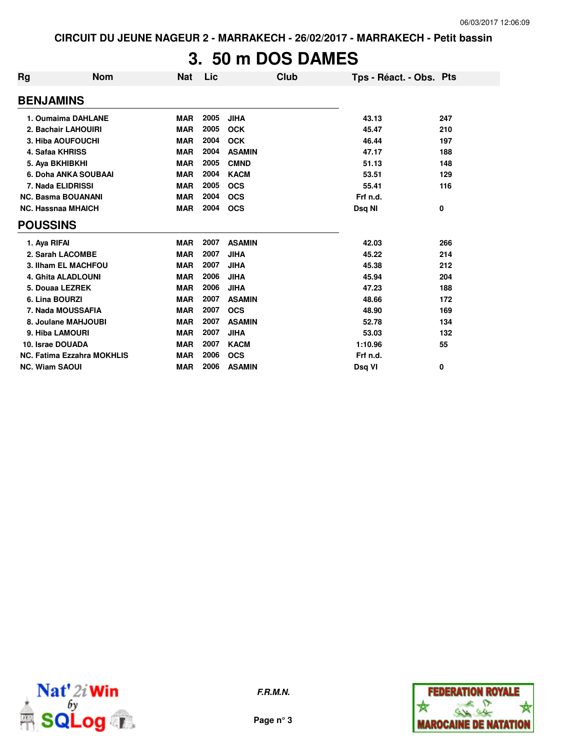## **3. 50 m DOS DAMES**

| <b>Rg</b>             | Nom                               | Nat        | Lic  | Club          | Tps - Réact. - Obs. Pts |     |
|-----------------------|-----------------------------------|------------|------|---------------|-------------------------|-----|
| <b>BENJAMINS</b>      |                                   |            |      |               |                         |     |
|                       | 1. Oumaima DAHLANE                | <b>MAR</b> | 2005 | <b>JIHA</b>   | 43.13                   | 247 |
|                       | 2. Bachair LAHOUIRI               | <b>MAR</b> | 2005 | <b>OCK</b>    | 45.47                   | 210 |
|                       | 3. Hiba AOUFOUCHI                 | <b>MAR</b> | 2004 | <b>OCK</b>    | 46.44                   | 197 |
|                       | 4. Safaa KHRISS                   | <b>MAR</b> | 2004 | <b>ASAMIN</b> | 47.17                   | 188 |
|                       | 5. Aya BKHIBKHI                   | <b>MAR</b> | 2005 | <b>CMND</b>   | 51.13                   | 148 |
|                       | 6. Doha ANKA SOUBAAI              | <b>MAR</b> | 2004 | <b>KACM</b>   | 53.51                   | 129 |
|                       | 7. Nada ELIDRISSI                 | <b>MAR</b> | 2005 | <b>OCS</b>    | 55.41                   | 116 |
|                       | <b>NC. Basma BOUANANI</b>         | <b>MAR</b> | 2004 | <b>OCS</b>    | Frf n.d.                |     |
|                       | <b>NC. Hassnaa MHAICH</b>         | <b>MAR</b> | 2004 | <b>OCS</b>    | Dsq NI                  | 0   |
| <b>POUSSINS</b>       |                                   |            |      |               |                         |     |
| 1. Aya RIFAI          |                                   | <b>MAR</b> | 2007 | <b>ASAMIN</b> | 42.03                   | 266 |
|                       | 2. Sarah LACOMBE                  | <b>MAR</b> | 2007 | <b>JIHA</b>   | 45.22                   | 214 |
|                       | 3. Ilham EL MACHFOU               | <b>MAR</b> | 2007 | <b>JIHA</b>   | 45.38                   | 212 |
|                       | 4. Ghita ALADLOUNI                | <b>MAR</b> | 2006 | <b>JIHA</b>   | 45.94                   | 204 |
|                       | 5. Douaa LEZREK                   | <b>MAR</b> | 2006 | <b>JIHA</b>   | 47.23                   | 188 |
| 6. Lina BOURZI        |                                   | <b>MAR</b> | 2007 | <b>ASAMIN</b> | 48.66                   | 172 |
|                       | 7. Nada MOUSSAFIA                 | <b>MAR</b> | 2007 | <b>OCS</b>    | 48.90                   | 169 |
|                       | 8. Joulane MAHJOUBI               | <b>MAR</b> | 2007 | <b>ASAMIN</b> | 52.78                   | 134 |
|                       | 9. Hiba LAMOURI                   | <b>MAR</b> | 2007 | <b>JIHA</b>   | 53.03                   | 132 |
| 10. Israe DOUADA      |                                   | <b>MAR</b> | 2007 | <b>KACM</b>   | 1:10.96                 | 55  |
|                       | <b>NC. Fatima Ezzahra MOKHLIS</b> | <b>MAR</b> | 2006 | <b>OCS</b>    | Frf n.d.                |     |
| <b>NC. Wiam SAOUI</b> |                                   | <b>MAR</b> | 2006 | <b>ASAMIN</b> | Dsq VI                  | 0   |



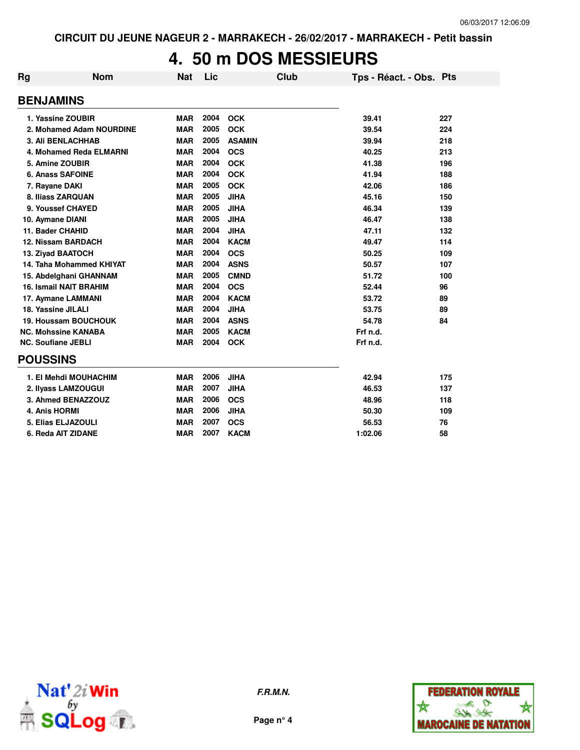### **4. 50 m DOS MESSIEURS**

| Rg                         | <b>Nom</b>                    | <b>Nat</b> | Lic  | Club          | Tps - Réact. - Obs. Pts |     |
|----------------------------|-------------------------------|------------|------|---------------|-------------------------|-----|
| <b>BENJAMINS</b>           |                               |            |      |               |                         |     |
| 1. Yassine ZOUBIR          |                               | <b>MAR</b> | 2004 | <b>OCK</b>    | 39.41                   | 227 |
|                            | 2. Mohamed Adam NOURDINE      | <b>MAR</b> | 2005 | <b>OCK</b>    | 39.54                   | 224 |
| <b>3. Ali BENLACHHAB</b>   |                               | <b>MAR</b> | 2005 | <b>ASAMIN</b> | 39.94                   | 218 |
|                            | 4. Mohamed Reda ELMARNI       | <b>MAR</b> | 2004 | <b>OCS</b>    | 40.25                   | 213 |
| 5. Amine ZOUBIR            |                               | <b>MAR</b> | 2004 | <b>OCK</b>    | 41.38                   | 196 |
| <b>6. Anass SAFOINE</b>    |                               | <b>MAR</b> | 2004 | <b>OCK</b>    | 41.94                   | 188 |
| 7. Rayane DAKI             |                               | <b>MAR</b> | 2005 | <b>OCK</b>    | 42.06                   | 186 |
| 8. Iliass ZARQUAN          |                               | <b>MAR</b> | 2005 | <b>JIHA</b>   | 45.16                   | 150 |
| 9. Youssef CHAYED          |                               | <b>MAR</b> | 2005 | <b>JIHA</b>   | 46.34                   | 139 |
| 10. Aymane DIANI           |                               | <b>MAR</b> | 2005 | <b>JIHA</b>   | 46.47                   | 138 |
| 11. Bader CHAHID           |                               | <b>MAR</b> | 2004 | <b>JIHA</b>   | 47.11                   | 132 |
| 12. Nissam BARDACH         |                               | <b>MAR</b> | 2004 | <b>KACM</b>   | 49.47                   | 114 |
| 13. Ziyad BAATOCH          |                               | <b>MAR</b> | 2004 | <b>OCS</b>    | 50.25                   | 109 |
|                            | 14. Taha Mohammed KHIYAT      | <b>MAR</b> | 2004 | <b>ASNS</b>   | 50.57                   | 107 |
|                            | 15. Abdelghani GHANNAM        | <b>MAR</b> | 2005 | <b>CMND</b>   | 51.72                   | 100 |
|                            | <b>16. Ismail NAIT BRAHIM</b> | <b>MAR</b> | 2004 | <b>OCS</b>    | 52.44                   | 96  |
| 17. Aymane LAMMANI         |                               | <b>MAR</b> | 2004 | <b>KACM</b>   | 53.72                   | 89  |
| 18. Yassine JILALI         |                               | <b>MAR</b> | 2004 | <b>JIHA</b>   | 53.75                   | 89  |
|                            | 19. Houssam BOUCHOUK          | <b>MAR</b> | 2004 | <b>ASNS</b>   | 54.78                   | 84  |
| <b>NC. Mohssine KANABA</b> |                               | <b>MAR</b> | 2005 | <b>KACM</b>   | Frf n.d.                |     |
| <b>NC. Soufiane JEBLI</b>  |                               | <b>MAR</b> | 2004 | <b>OCK</b>    | Frf n.d.                |     |
| <b>POUSSINS</b>            |                               |            |      |               |                         |     |
|                            | 1. El Mehdi MOUHACHIM         | <b>MAR</b> | 2006 | <b>JIHA</b>   | 42.94                   | 175 |
|                            | 2. Ilyass LAMZOUGUI           | <b>MAR</b> | 2007 | <b>JIHA</b>   | 46.53                   | 137 |
|                            | 3. Ahmed BENAZZOUZ            | <b>MAR</b> | 2006 | <b>OCS</b>    | 48.96                   | 118 |
| 4. Anis HORMI              |                               | <b>MAR</b> | 2006 | <b>JIHA</b>   | 50.30                   | 109 |
| 5. Elias ELJAZOULI         |                               | <b>MAR</b> | 2007 | <b>OCS</b>    | 56.53                   | 76  |
| 6. Reda AIT ZIDANE         |                               | <b>MAR</b> | 2007 | <b>KACM</b>   | 1:02.06                 | 58  |
|                            |                               |            |      |               |                         |     |



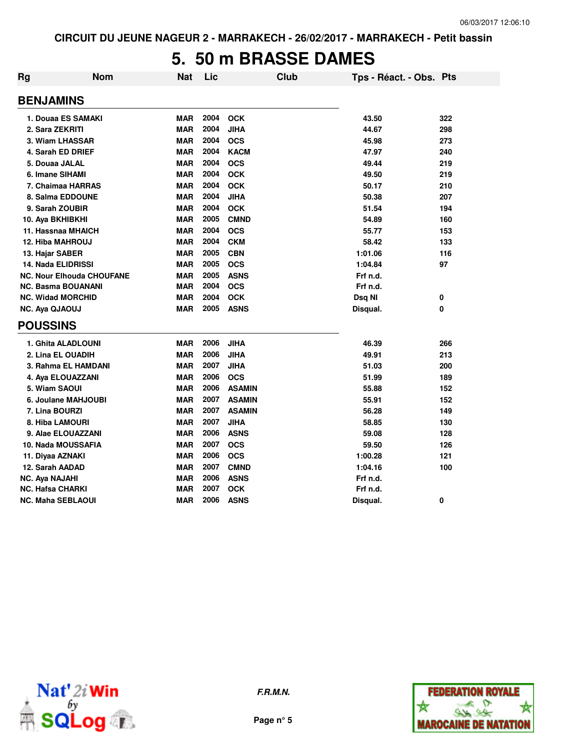### **5. 50 m BRASSE DAMES**

| Rg                        | <b>Nom</b>                       | <b>Nat</b> | Lic  | <b>Club</b>   | Tps - Réact. - Obs. Pts |     |
|---------------------------|----------------------------------|------------|------|---------------|-------------------------|-----|
| <b>BENJAMINS</b>          |                                  |            |      |               |                         |     |
|                           | 1. Douaa ES SAMAKI               | <b>MAR</b> | 2004 | <b>OCK</b>    | 43.50                   | 322 |
| 2. Sara ZEKRITI           |                                  | <b>MAR</b> | 2004 | <b>JIHA</b>   | 44.67                   | 298 |
| 3. Wiam LHASSAR           |                                  | <b>MAR</b> | 2004 | <b>OCS</b>    | 45.98                   | 273 |
| 4. Sarah ED DRIEF         |                                  | <b>MAR</b> | 2004 | <b>KACM</b>   | 47.97                   | 240 |
| 5. Douaa JALAL            |                                  | <b>MAR</b> | 2004 | <b>OCS</b>    | 49.44                   | 219 |
| 6. Imane SIHAMI           |                                  | <b>MAR</b> | 2004 | <b>OCK</b>    | 49.50                   | 219 |
|                           | 7. Chaimaa HARRAS                | <b>MAR</b> | 2004 | <b>OCK</b>    | 50.17                   | 210 |
|                           | 8. Salma EDDOUNE                 | <b>MAR</b> | 2004 | <b>JIHA</b>   | 50.38                   | 207 |
| 9. Sarah ZOUBIR           |                                  | <b>MAR</b> | 2004 | <b>OCK</b>    | 51.54                   | 194 |
| 10. Aya BKHIBKHI          |                                  | <b>MAR</b> | 2005 | <b>CMND</b>   | 54.89                   | 160 |
| 11. Hassnaa MHAICH        |                                  | <b>MAR</b> | 2004 | <b>OCS</b>    | 55.77                   | 153 |
| 12. Hiba MAHROUJ          |                                  | <b>MAR</b> | 2004 | <b>CKM</b>    | 58.42                   | 133 |
| 13. Hajar SABER           |                                  | <b>MAR</b> | 2005 | <b>CBN</b>    | 1:01.06                 | 116 |
| <b>14. Nada ELIDRISSI</b> |                                  | <b>MAR</b> | 2005 | <b>OCS</b>    | 1:04.84                 | 97  |
|                           | <b>NC. Nour Elhouda CHOUFANE</b> | <b>MAR</b> | 2005 | <b>ASNS</b>   | Frf n.d.                |     |
| <b>NC. Basma BOUANANI</b> |                                  | <b>MAR</b> | 2004 | <b>OCS</b>    | Frf n.d.                |     |
| <b>NC. Widad MORCHID</b>  |                                  | <b>MAR</b> | 2004 | <b>OCK</b>    | Dsq NI                  | 0   |
| NC. Aya QJAOUJ            |                                  | <b>MAR</b> | 2005 | <b>ASNS</b>   | Disqual.                | 0   |
| <b>POUSSINS</b>           |                                  |            |      |               |                         |     |
|                           | 1. Ghita ALADLOUNI               | <b>MAR</b> | 2006 | <b>JIHA</b>   | 46.39                   | 266 |
| 2. Lina EL OUADIH         |                                  | <b>MAR</b> | 2006 | <b>JIHA</b>   | 49.91                   | 213 |
|                           | 3. Rahma EL HAMDANI              | <b>MAR</b> | 2007 | <b>JIHA</b>   | 51.03                   | 200 |
|                           | 4. Aya ELOUAZZANI                | <b>MAR</b> | 2006 | <b>OCS</b>    | 51.99                   | 189 |
| 5. Wiam SAOUI             |                                  | <b>MAR</b> | 2006 | <b>ASAMIN</b> | 55.88                   | 152 |
|                           | 6. Joulane MAHJOUBI              | <b>MAR</b> | 2007 | <b>ASAMIN</b> | 55.91                   | 152 |
| 7. Lina BOURZI            |                                  | <b>MAR</b> | 2007 | <b>ASAMIN</b> | 56.28                   | 149 |
| 8. Hiba LAMOURI           |                                  | <b>MAR</b> | 2007 | <b>JIHA</b>   | 58.85                   | 130 |
|                           | 9. Alae ELOUAZZANI               | <b>MAR</b> | 2006 | <b>ASNS</b>   | 59.08                   | 128 |
|                           | 10. Nada MOUSSAFIA               | <b>MAR</b> | 2007 | <b>OCS</b>    | 59.50                   | 126 |
| 11. Diyaa AZNAKI          |                                  | <b>MAR</b> | 2006 | <b>OCS</b>    | 1:00.28                 | 121 |
| 12. Sarah AADAD           |                                  | <b>MAR</b> | 2007 | <b>CMND</b>   | 1:04.16                 | 100 |
| NC. Aya NAJAHI            |                                  | <b>MAR</b> | 2006 | <b>ASNS</b>   | Frf n.d.                |     |
| <b>NC. Hafsa CHARKI</b>   |                                  | <b>MAR</b> | 2007 | <b>OCK</b>    | Frf n.d.                |     |
| <b>NC. Maha SEBLAOUI</b>  |                                  | <b>MAR</b> | 2006 | <b>ASNS</b>   | Disqual.                | 0   |



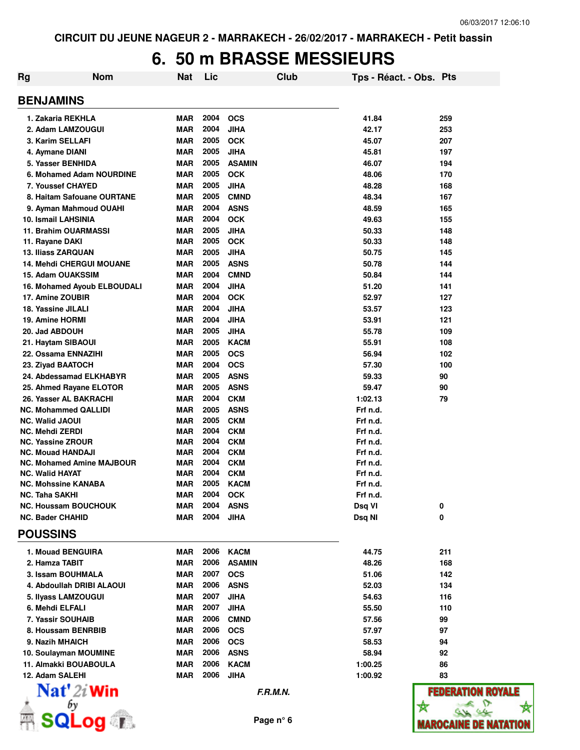☆

## **6. 50 m BRASSE MESSIEURS**

| <b>Rg</b><br>Nom                   | <b>Nat</b>        | Lic          | Club                      | Tps - Réact. - Obs. Pts |                              |
|------------------------------------|-------------------|--------------|---------------------------|-------------------------|------------------------------|
| <b>BENJAMINS</b>                   |                   |              |                           |                         |                              |
| 1. Zakaria REKHLA                  | MAR               | 2004         | <b>OCS</b>                | 41.84                   | 259                          |
| 2. Adam LAMZOUGUI                  | <b>MAR</b>        | 2004         | <b>JIHA</b>               | 42.17                   | 253                          |
| 3. Karim SELLAFI                   | MAR               | 2005         | <b>OCK</b>                | 45.07                   | 207                          |
| 4. Aymane DIANI                    | MAR               | 2005         | <b>JIHA</b>               | 45.81                   | 197                          |
| 5. Yasser BENHIDA                  | MAR               | 2005         | <b>ASAMIN</b>             | 46.07                   | 194                          |
| 6. Mohamed Adam NOURDINE           | MAR               | 2005         | <b>OCK</b>                | 48.06                   | 170                          |
| 7. Youssef CHAYED                  | MAR               | 2005         | <b>JIHA</b>               | 48.28                   | 168                          |
| 8. Haitam Safouane OURTANE         | <b>MAR</b>        | 2005         | <b>CMND</b>               | 48.34                   | 167                          |
| 9. Ayman Mahmoud OUAHI             | <b>MAR</b>        | 2004         | <b>ASNS</b>               | 48.59                   | 165                          |
| 10. Ismail LAHSINIA                | <b>MAR</b>        | 2004         | <b>OCK</b>                | 49.63                   | 155                          |
| 11. Brahim OUARMASSI               | MAR               | 2005         | <b>JIHA</b>               | 50.33                   | 148                          |
| 11. Rayane DAKI                    | MAR               | 2005         | <b>OCK</b>                | 50.33                   | 148                          |
| <b>13. Iliass ZARQUAN</b>          | MAR               | 2005         | <b>JIHA</b>               | 50.75                   | 145                          |
| <b>14. Mehdi CHERGUI MOUANE</b>    | MAR               | 2005         | <b>ASNS</b>               | 50.78                   | 144                          |
| 15. Adam OUAKSSIM                  | MAR               | 2004         | <b>CMND</b>               | 50.84                   | 144                          |
| 16. Mohamed Ayoub ELBOUDALI        | MAR               | 2004         | <b>JIHA</b>               | 51.20                   | 141                          |
| 17. Amine ZOUBIR                   | <b>MAR</b>        | 2004         | <b>OCK</b>                | 52.97                   | 127                          |
| 18. Yassine JILALI                 | MAR               | 2004         | <b>JIHA</b>               | 53.57                   | 123                          |
| 19. Amine HORMI                    | MAR               | 2004         | <b>JIHA</b>               | 53.91                   | 121                          |
| 20. Jad ABDOUH                     | MAR               | 2005         | <b>JIHA</b>               | 55.78                   | 109                          |
| 21. Haytam SIBAOUI                 | MAR               | 2005         | <b>KACM</b>               | 55.91                   | 108                          |
| 22. Ossama ENNAZIHI                | <b>MAR</b>        | 2005         | <b>OCS</b>                | 56.94                   | 102                          |
|                                    | MAR               | 2004         | <b>OCS</b>                | 57.30                   | 100                          |
| 23. Ziyad BAATOCH                  |                   | 2005         |                           |                         |                              |
| 24. Abdessamad ELKHABYR            | MAR               |              | <b>ASNS</b>               | 59.33                   | 90                           |
| 25. Ahmed Rayane ELOTOR            | MAR               | 2005         | <b>ASNS</b>               | 59.47                   | 90                           |
| 26. Yasser AL BAKRACHI             | <b>MAR</b>        | 2004         | <b>CKM</b>                | 1:02.13                 | 79                           |
| NC. Mohammed QALLIDI               | MAR               | 2005<br>2005 | <b>ASNS</b><br><b>CKM</b> | Frf n.d.                |                              |
| NC. Walid JAOUI<br>NC. Mehdi ZERDI | <b>MAR</b><br>MAR | 2004         | <b>CKM</b>                | Frf n.d.<br>Frf n.d.    |                              |
| NC. Yassine ZROUR                  | <b>MAR</b>        | 2004         | <b>CKM</b>                | Frf n.d.                |                              |
| NC. Mouad HANDAJI                  | <b>MAR</b>        | 2004         | <b>CKM</b>                | Frf n.d.                |                              |
| NC. Mohamed Amine MAJBOUR          | MAR               | 2004         | <b>CKM</b>                | Frf n.d.                |                              |
| NC. Walid HAYAT                    | MAR               | 2004         | <b>CKM</b>                | Frf n.d.                |                              |
| NC. Mohssine KANABA                | MAR               | 2005         | <b>KACM</b>               | Frf n.d.                |                              |
| <b>NC. Taha SAKHI</b>              | <b>MAR</b>        | 2004         | <b>OCK</b>                | Frf n.d.                |                              |
| <b>NC. Houssam BOUCHOUK</b>        | MAR               | 2004         | <b>ASNS</b>               | Dsq VI                  | 0                            |
| <b>NC. Bader CHAHID</b>            | MAR               | 2004         | <b>JIHA</b>               | Dsq NI                  | 0                            |
| <b>POUSSINS</b>                    |                   |              |                           |                         |                              |
| 1. Mouad BENGUIRA                  | MAR               | 2006         | <b>KACM</b>               | 44.75                   | 211                          |
| 2. Hamza TABIT                     | <b>MAR</b>        | 2006         | <b>ASAMIN</b>             | 48.26                   | 168                          |
| 3. Issam BOUHMALA                  | <b>MAR</b>        | 2007         | <b>OCS</b>                | 51.06                   | 142                          |
| 4. Abdoullah DRIBI ALAOUI          | MAR               | 2006         | <b>ASNS</b>               | 52.03                   | 134                          |
| 5. Ilyass LAMZOUGUI                | <b>MAR</b>        | 2007         | <b>JIHA</b>               | 54.63                   | 116                          |
| 6. Mehdi ELFALI                    | MAR               | 2007         | <b>JIHA</b>               | 55.50                   | 110                          |
| 7. Yassir SOUHAIB                  | <b>MAR</b>        | 2006         | <b>CMND</b>               | 57.56                   | 99                           |
| 8. Houssam BENRBIB                 | <b>MAR</b>        | 2006         | <b>OCS</b>                | 57.97                   | 97                           |
| 9. Nazih MHAICH                    | MAR               | 2006         | <b>OCS</b>                | 58.53                   | 94                           |
| 10. Soulayman MOUMINE              | <b>MAR</b>        | 2006         | <b>ASNS</b>               | 58.94                   | 92                           |
| 11. Almakki BOUABOULA              | MAR               | 2006         | <b>KACM</b>               | 1:00.25                 | 86                           |
| 12. Adam SALEHI                    | MAR               | 2006         | <b>JIHA</b>               | 1:00.92                 | 83                           |
| Nat' 2i Win                        |                   |              | F.R.M.N.                  |                         | <b>FEDERATION ROYALE</b>     |
| bγ                                 |                   |              |                           |                         | ☆                            |
|                                    |                   |              |                           |                         |                              |
| <b>a</b> po.                       |                   |              | Page n° 6                 |                         | <b>MAROCAINE DE NATATION</b> |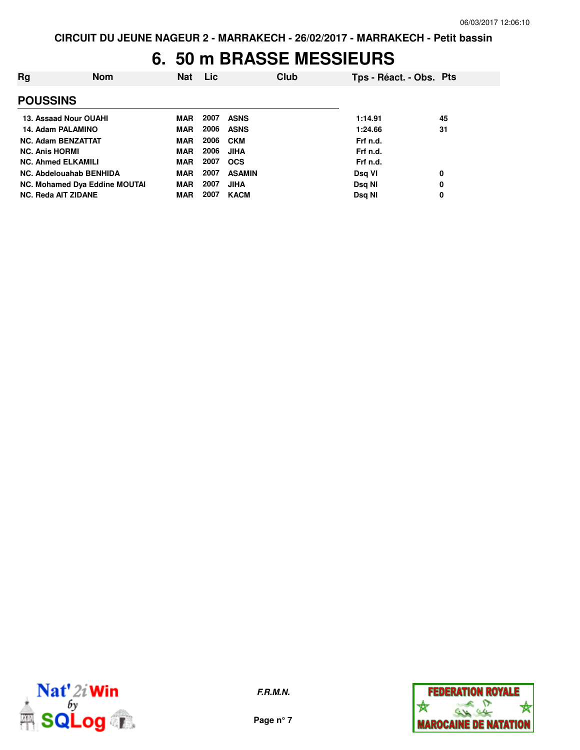### **6. 50 m BRASSE MESSIEURS**

| Rg                    | <b>Nom</b>                    | <b>Nat</b> | Lic  | Club          | Tps - Réact. - Obs. Pts |    |
|-----------------------|-------------------------------|------------|------|---------------|-------------------------|----|
| <b>POUSSINS</b>       |                               |            |      |               |                         |    |
|                       | 13. Assaad Nour OUAHI         | MAR        | 2007 | <b>ASNS</b>   | 1:14.91                 | 45 |
|                       | 14. Adam PALAMINO             | MAR        | 2006 | <b>ASNS</b>   | 1:24.66                 | 31 |
|                       | <b>NC. Adam BENZATTAT</b>     | MAR        | 2006 | <b>CKM</b>    | Frf n.d.                |    |
| <b>NC. Anis HORMI</b> |                               | MAR        | 2006 | JIHA          | Frf n.d.                |    |
|                       | <b>NC. Ahmed ELKAMILI</b>     | MAR        | 2007 | <b>OCS</b>    | Frf n.d.                |    |
|                       | NC. Abdelouahab BENHIDA       | <b>MAR</b> | 2007 | <b>ASAMIN</b> | Dsg VI                  | 0  |
|                       | NC. Mohamed Dya Eddine MOUTAI | MAR        | 2007 | <b>JIHA</b>   | Dsg NI                  | 0  |
|                       | <b>NC. Reda AIT ZIDANE</b>    | <b>MAR</b> | 2007 | <b>KACM</b>   | Dsg NI                  | 0  |



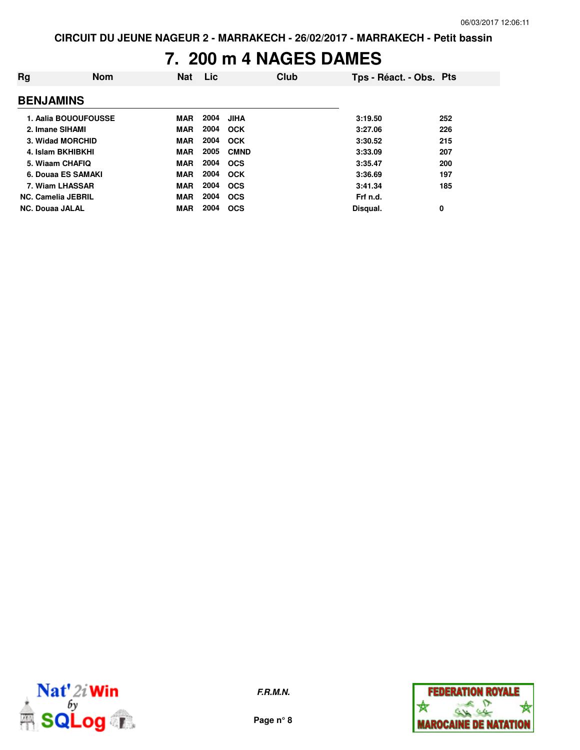### **7. 200 m 4 NAGES DAMES**

| Rg                        | <b>Nom</b>           | <b>Nat</b> | Lic  |             | Club | Tps - Réact. - Obs. Pts |     |
|---------------------------|----------------------|------------|------|-------------|------|-------------------------|-----|
| <b>BENJAMINS</b>          |                      |            |      |             |      |                         |     |
|                           | 1. Aalia BOUOUFOUSSE | MAR        | 2004 | <b>JIHA</b> |      | 3:19.50                 | 252 |
| 2. Imane SIHAMI           |                      | MAR        | 2004 | <b>OCK</b>  |      | 3:27.06                 | 226 |
| 3. Widad MORCHID          |                      | MAR        | 2004 | <b>OCK</b>  |      | 3:30.52                 | 215 |
| 4. Islam BKHIBKHI         |                      | MAR        | 2005 | <b>CMND</b> |      | 3:33.09                 | 207 |
| 5. Wiaam CHAFIQ           |                      | MAR        | 2004 | <b>OCS</b>  |      | 3:35.47                 | 200 |
| 6. Douaa ES SAMAKI        |                      | <b>MAR</b> | 2004 | <b>OCK</b>  |      | 3:36.69                 | 197 |
| 7. Wiam LHASSAR           |                      | MAR        | 2004 | <b>OCS</b>  |      | 3:41.34                 | 185 |
| <b>NC. Camelia JEBRIL</b> |                      | MAR        | 2004 | <b>OCS</b>  |      | Frf n.d.                |     |
| <b>NC. Douaa JALAL</b>    |                      | <b>MAR</b> | 2004 | <b>OCS</b>  |      | Disqual.                | 0   |



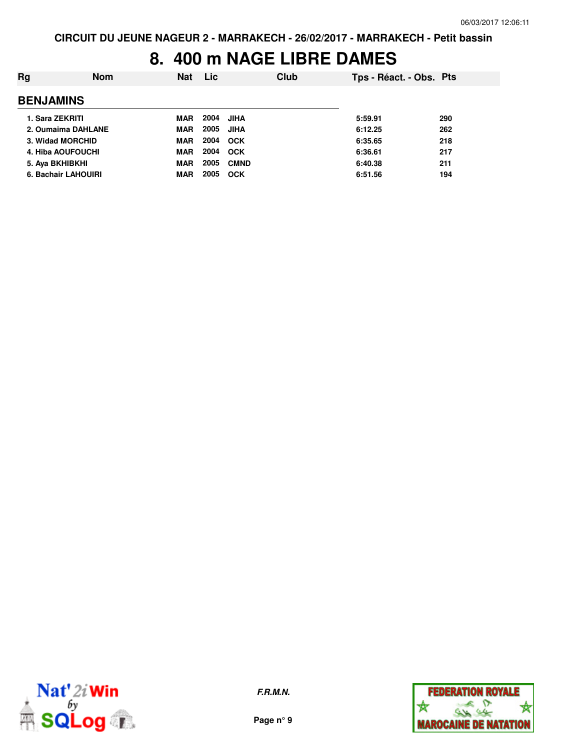### **8. 400 m NAGE LIBRE DAMES**

| Rg                         | <b>Nom</b> | Nat        | <b>Lic</b> | Club        | Tps - Réact. - Obs. Pts |     |
|----------------------------|------------|------------|------------|-------------|-------------------------|-----|
| <b>BENJAMINS</b>           |            |            |            |             |                         |     |
| 1. Sara ZEKRITI            |            | MAR        | 2004       | JIHA        | 5:59.91                 | 290 |
| 2. Oumaima DAHLANE         |            | MAR        | 2005       | JIHA        | 6:12.25                 | 262 |
| 3. Widad MORCHID           |            | MAR        | 2004 OCK   |             | 6:35.65                 | 218 |
| 4. Hiba AOUFOUCHI          |            | MAR        | 2004 OCK   |             | 6:36.61                 | 217 |
| 5. Aya BKHIBKHI            |            | MAR        | 2005       | <b>CMND</b> | 6:40.38                 | 211 |
| <b>6. Bachair LAHOUIRI</b> |            | <b>MAR</b> | 2005       | <b>OCK</b>  | 6:51.56                 | 194 |



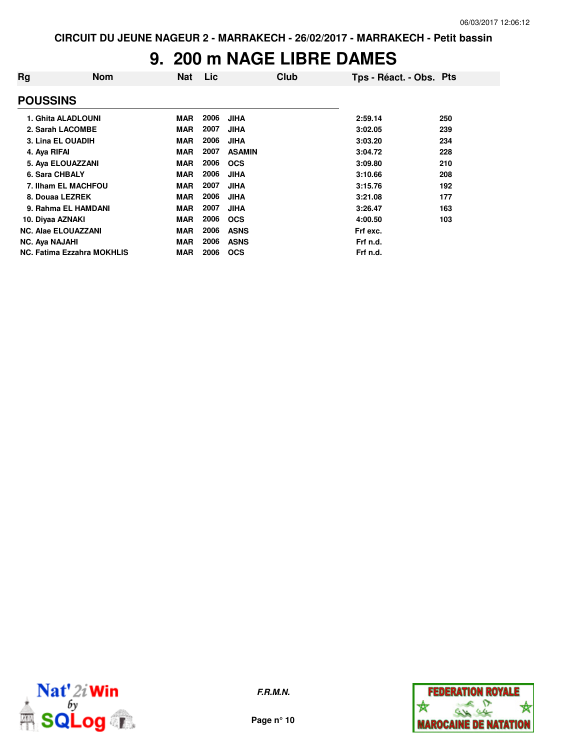### **9. 200 m NAGE LIBRE DAMES**

| Rg                    | <b>Nom</b>                        | <b>Nat</b> | Lic  | Club          | Tps - Réact. - Obs. Pts |     |
|-----------------------|-----------------------------------|------------|------|---------------|-------------------------|-----|
| <b>POUSSINS</b>       |                                   |            |      |               |                         |     |
|                       | 1. Ghita ALADLOUNI                | <b>MAR</b> | 2006 | <b>JIHA</b>   | 2:59.14                 | 250 |
|                       | 2. Sarah LACOMBE                  | <b>MAR</b> | 2007 | <b>JIHA</b>   | 3:02.05                 | 239 |
|                       | 3. Lina EL OUADIH                 | <b>MAR</b> | 2006 | <b>JIHA</b>   | 3:03.20                 | 234 |
| 4. Aya RIFAI          |                                   | <b>MAR</b> | 2007 | <b>ASAMIN</b> | 3:04.72                 | 228 |
|                       | 5. Aya ELOUAZZANI                 | <b>MAR</b> | 2006 | <b>OCS</b>    | 3:09.80                 | 210 |
| 6. Sara CHBALY        |                                   | <b>MAR</b> | 2006 | <b>JIHA</b>   | 3:10.66                 | 208 |
|                       | 7. Ilham EL MACHFOU               | <b>MAR</b> | 2007 | <b>JIHA</b>   | 3:15.76                 | 192 |
| 8. Douaa LEZREK       |                                   | <b>MAR</b> | 2006 | <b>JIHA</b>   | 3:21.08                 | 177 |
|                       | 9. Rahma EL HAMDANI               | <b>MAR</b> | 2007 | <b>JIHA</b>   | 3:26.47                 | 163 |
| 10. Diyaa AZNAKI      |                                   | <b>MAR</b> | 2006 | <b>OCS</b>    | 4:00.50                 | 103 |
|                       | <b>NC. Alae ELOUAZZANI</b>        | <b>MAR</b> | 2006 | <b>ASNS</b>   | Frf exc.                |     |
| <b>NC. Aya NAJAHI</b> |                                   | <b>MAR</b> | 2006 | <b>ASNS</b>   | Frf n.d.                |     |
|                       | <b>NC. Fatima Ezzahra MOKHLIS</b> | <b>MAR</b> | 2006 | <b>OCS</b>    | Frf n.d.                |     |



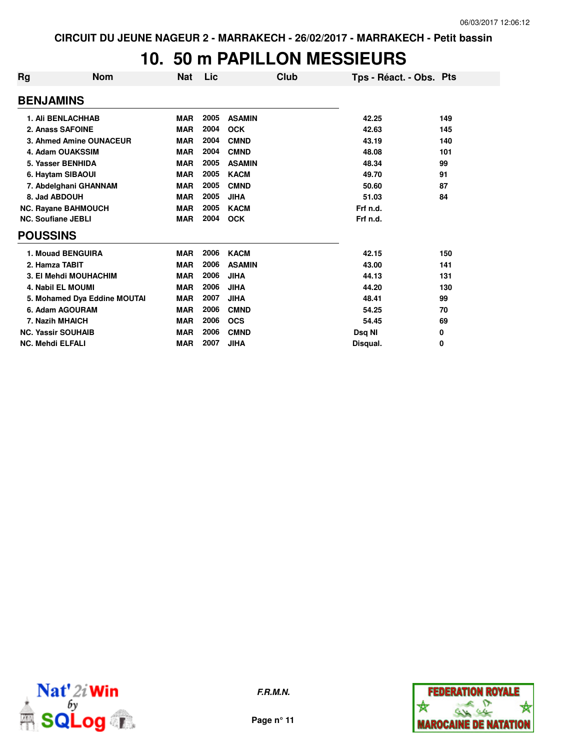## **10. 50 m PAPILLON MESSIEURS**

| Rg | <b>Nom</b>                   | <b>Nat</b> | Lic  | Club          | Tps - Réact. - Obs. Pts |     |
|----|------------------------------|------------|------|---------------|-------------------------|-----|
|    | <b>BENJAMINS</b>             |            |      |               |                         |     |
|    | <b>1. Ali BENLACHHAB</b>     | <b>MAR</b> | 2005 | <b>ASAMIN</b> | 42.25                   | 149 |
|    | 2. Anass SAFOINE             | <b>MAR</b> | 2004 | <b>OCK</b>    | 42.63                   | 145 |
|    | 3. Ahmed Amine OUNACEUR      | <b>MAR</b> | 2004 | <b>CMND</b>   | 43.19                   | 140 |
|    | 4. Adam OUAKSSIM             | <b>MAR</b> | 2004 | <b>CMND</b>   | 48.08                   | 101 |
|    | 5. Yasser BENHIDA            | <b>MAR</b> | 2005 | <b>ASAMIN</b> | 48.34                   | 99  |
|    | 6. Haytam SIBAOUI            | <b>MAR</b> | 2005 | <b>KACM</b>   | 49.70                   | 91  |
|    | 7. Abdelghani GHANNAM        | <b>MAR</b> | 2005 | <b>CMND</b>   | 50.60                   | 87  |
|    | 8. Jad ABDOUH                | <b>MAR</b> | 2005 | <b>JIHA</b>   | 51.03                   | 84  |
|    | <b>NC. Rayane BAHMOUCH</b>   | <b>MAR</b> | 2005 | <b>KACM</b>   | Frf n.d.                |     |
|    | <b>NC. Soufiane JEBLI</b>    | <b>MAR</b> | 2004 | <b>OCK</b>    | Frf n.d.                |     |
|    | <b>POUSSINS</b>              |            |      |               |                         |     |
|    | 1. Mouad BENGUIRA            | <b>MAR</b> | 2006 | <b>KACM</b>   | 42.15                   | 150 |
|    | 2. Hamza TABIT               | <b>MAR</b> | 2006 | <b>ASAMIN</b> | 43.00                   | 141 |
|    | 3. El Mehdi MOUHACHIM        | <b>MAR</b> | 2006 | <b>JIHA</b>   | 44.13                   | 131 |
|    | <b>4. Nabil EL MOUMI</b>     | <b>MAR</b> | 2006 | <b>JIHA</b>   | 44.20                   | 130 |
|    | 5. Mohamed Dya Eddine MOUTAI | <b>MAR</b> | 2007 | <b>JIHA</b>   | 48.41                   | 99  |
|    | 6. Adam AGOURAM              | <b>MAR</b> | 2006 | <b>CMND</b>   | 54.25                   | 70  |
|    | 7. Nazih MHAICH              | <b>MAR</b> | 2006 | <b>OCS</b>    | 54.45                   | 69  |
|    | <b>NC. Yassir SOUHAIB</b>    | <b>MAR</b> | 2006 | <b>CMND</b>   | Dsq NI                  | 0   |
|    | <b>NC. Mehdi ELFALI</b>      | <b>MAR</b> | 2007 | <b>JIHA</b>   | Disqual.                | 0   |



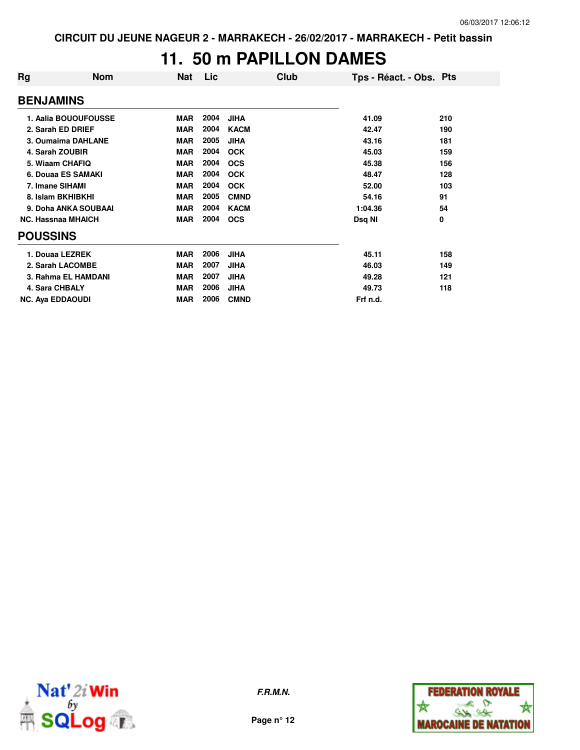#### **11. 50 m PAPILLON DAMES**

| Rg               | <b>Nom</b>                | Nat        | Lic  | Club        | Tps - Réact. - Obs. Pts |     |
|------------------|---------------------------|------------|------|-------------|-------------------------|-----|
| <b>BENJAMINS</b> |                           |            |      |             |                         |     |
|                  | 1. Aalia BOUOUFOUSSE      | <b>MAR</b> | 2004 | <b>JIHA</b> | 41.09                   | 210 |
|                  | 2. Sarah ED DRIEF         | <b>MAR</b> | 2004 | <b>KACM</b> | 42.47                   | 190 |
|                  | 3. Oumaima DAHLANE        | <b>MAR</b> | 2005 | <b>JIHA</b> | 43.16                   | 181 |
|                  | 4. Sarah ZOUBIR           | <b>MAR</b> | 2004 | <b>OCK</b>  | 45.03                   | 159 |
|                  | 5. Wiaam CHAFIQ           | <b>MAR</b> | 2004 | <b>OCS</b>  | 45.38                   | 156 |
|                  | 6. Douaa ES SAMAKI        | <b>MAR</b> | 2004 | <b>OCK</b>  | 48.47                   | 128 |
|                  | 7. Imane SIHAMI           | <b>MAR</b> | 2004 | <b>OCK</b>  | 52.00                   | 103 |
|                  | 8. Islam BKHIBKHI         | <b>MAR</b> | 2005 | <b>CMND</b> | 54.16                   | 91  |
|                  | 9. Doha ANKA SOUBAAI      | <b>MAR</b> | 2004 | <b>KACM</b> | 1:04.36                 | 54  |
|                  | <b>NC. Hassnaa MHAICH</b> | <b>MAR</b> | 2004 | <b>OCS</b>  | Dsq NI                  | 0   |
| <b>POUSSINS</b>  |                           |            |      |             |                         |     |
|                  | 1. Douaa LEZREK           | <b>MAR</b> | 2006 | <b>JIHA</b> | 45.11                   | 158 |
|                  | 2. Sarah LACOMBE          | <b>MAR</b> | 2007 | JIHA        | 46.03                   | 149 |
|                  | 3. Rahma EL HAMDANI       | <b>MAR</b> | 2007 | JIHA        | 49.28                   | 121 |
|                  | 4. Sara CHBALY            | <b>MAR</b> | 2006 | <b>JIHA</b> | 49.73                   | 118 |
|                  | <b>NC. Aya EDDAOUDI</b>   | <b>MAR</b> | 2006 | <b>CMND</b> | Frf n.d.                |     |



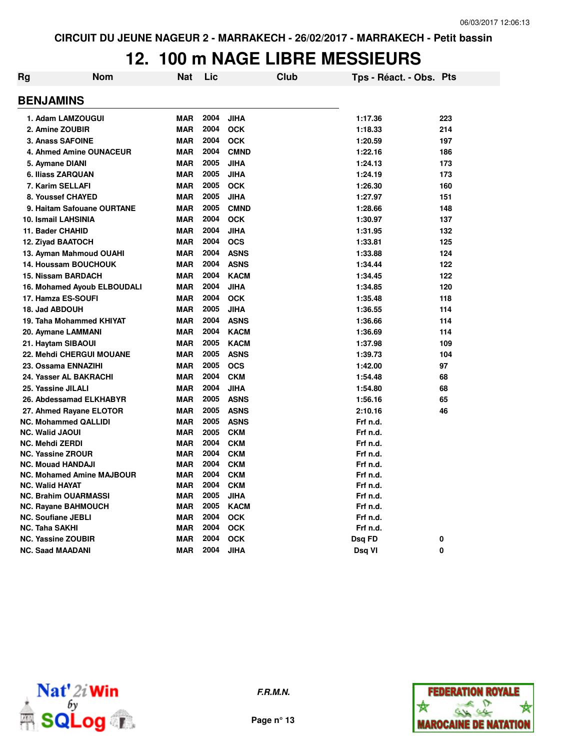#### **12. 100 m NAGE LIBRE MESSIEURS**

| Rg                                                      | <b>Nom</b>                  | Nat                      | Lic          |                           | Club | Tps - Réact. - Obs. Pts |     |
|---------------------------------------------------------|-----------------------------|--------------------------|--------------|---------------------------|------|-------------------------|-----|
| <b>BENJAMINS</b>                                        |                             |                          |              |                           |      |                         |     |
| 1. Adam LAMZOUGUI                                       |                             | <b>MAR</b>               | 2004         | <b>JIHA</b>               |      | 1:17.36                 | 223 |
| 2. Amine ZOUBIR                                         |                             | <b>MAR</b>               | 2004         | <b>OCK</b>                |      | 1:18.33                 | 214 |
| 3. Anass SAFOINE                                        |                             | <b>MAR</b>               | 2004         | <b>OCK</b>                |      | 1:20.59                 | 197 |
| 4. Ahmed Amine OUNACEUR                                 |                             | <b>MAR</b>               | 2004         | <b>CMND</b>               |      | 1:22.16                 | 186 |
| 5. Aymane DIANI                                         |                             | <b>MAR</b>               | 2005         | <b>JIHA</b>               |      | 1:24.13                 | 173 |
| 6. Iliass ZARQUAN                                       |                             | <b>MAR</b>               | 2005         | <b>JIHA</b>               |      | 1:24.19                 | 173 |
| 7. Karim SELLAFI                                        |                             | <b>MAR</b>               | 2005         | <b>OCK</b>                |      | 1:26.30                 | 160 |
| 8. Youssef CHAYED                                       |                             | <b>MAR</b>               | 2005         | <b>JIHA</b>               |      | 1:27.97                 | 151 |
|                                                         | 9. Haitam Safouane OURTANE  | <b>MAR</b>               | 2005         | <b>CMND</b>               |      | 1:28.66                 | 148 |
| 10. Ismail LAHSINIA                                     |                             | <b>MAR</b>               | 2004         | <b>OCK</b>                |      | 1:30.97                 | 137 |
| 11. Bader CHAHID                                        |                             | <b>MAR</b>               | 2004         | <b>JIHA</b>               |      | 1:31.95                 | 132 |
| 12. Ziyad BAATOCH                                       |                             | <b>MAR</b>               | 2004         | <b>OCS</b>                |      | 1:33.81                 | 125 |
| 13. Ayman Mahmoud OUAHI                                 |                             | <b>MAR</b>               | 2004         | <b>ASNS</b>               |      | 1:33.88                 | 124 |
| 14. Houssam BOUCHOUK                                    |                             | <b>MAR</b>               | 2004         | <b>ASNS</b>               |      | 1:34.44                 | 122 |
| 15. Nissam BARDACH                                      |                             | <b>MAR</b>               | 2004         | <b>KACM</b>               |      | 1:34.45                 | 122 |
|                                                         | 16. Mohamed Ayoub ELBOUDALI | <b>MAR</b>               | 2004         | <b>JIHA</b>               |      | 1:34.85                 | 120 |
| 17. Hamza ES-SOUFI                                      |                             | <b>MAR</b>               | 2004         | <b>OCK</b>                |      | 1:35.48                 | 118 |
| 18. Jad ABDOUH                                          |                             | <b>MAR</b>               | 2005         | <b>JIHA</b>               |      | 1:36.55                 | 114 |
| 19. Taha Mohammed KHIYAT                                |                             | <b>MAR</b>               | 2004         | <b>ASNS</b>               |      | 1:36.66                 | 114 |
| 20. Aymane LAMMANI                                      |                             | <b>MAR</b>               | 2004         | <b>KACM</b>               |      | 1:36.69                 | 114 |
| 21. Haytam SIBAOUI                                      |                             | <b>MAR</b>               | 2005         | <b>KACM</b>               |      | 1:37.98                 | 109 |
| 22. Mehdi CHERGUI MOUANE                                |                             | <b>MAR</b>               | 2005         | <b>ASNS</b>               |      | 1:39.73                 | 104 |
| 23. Ossama ENNAZIHI                                     |                             | <b>MAR</b>               | 2005         | <b>OCS</b>                |      | 1:42.00                 | 97  |
| 24. Yasser AL BAKRACHI                                  |                             | <b>MAR</b>               | 2004         | <b>CKM</b>                |      | 1:54.48                 | 68  |
| 25. Yassine JILALI                                      |                             | <b>MAR</b>               | 2004         | <b>JIHA</b>               |      | 1:54.80                 | 68  |
| 26. Abdessamad ELKHABYR                                 |                             | <b>MAR</b>               | 2005         | <b>ASNS</b>               |      | 1:56.16                 | 65  |
| 27. Ahmed Rayane ELOTOR                                 |                             | <b>MAR</b>               | 2005         | <b>ASNS</b>               |      | 2:10.16                 | 46  |
| <b>NC. Mohammed QALLIDI</b>                             |                             | <b>MAR</b>               | 2005         | <b>ASNS</b>               |      | Frf n.d.                |     |
| <b>NC. Walid JAOUI</b>                                  |                             | <b>MAR</b>               | 2005         | <b>CKM</b>                |      | Frf n.d.                |     |
| <b>NC. Mehdi ZERDI</b>                                  |                             | <b>MAR</b>               | 2004         | <b>CKM</b>                |      | Frf n.d.                |     |
| <b>NC. Yassine ZROUR</b>                                |                             | <b>MAR</b>               | 2004         | <b>CKM</b>                |      | Frf n.d.                |     |
| <b>NC. Mouad HANDAJI</b>                                |                             | <b>MAR</b>               | 2004         | <b>CKM</b>                |      | Frf n.d.                |     |
| <b>NC. Mohamed Amine MAJBOUR</b>                        |                             | <b>MAR</b>               | 2004         | <b>CKM</b>                |      | Frf n.d.                |     |
| <b>NC. Walid HAYAT</b>                                  |                             | <b>MAR</b>               | 2004         | <b>CKM</b>                |      | Frf n.d.                |     |
| <b>NC. Brahim OUARMASSI</b>                             |                             | <b>MAR</b>               | 2005         | <b>JIHA</b>               |      | Frf n.d.                |     |
| <b>NC. Rayane BAHMOUCH</b><br><b>NC. Soufiane JEBLI</b> |                             | <b>MAR</b><br><b>MAR</b> | 2005<br>2004 | <b>KACM</b><br><b>OCK</b> |      | Frf n.d.<br>Frf n.d.    |     |
| <b>NC. Taha SAKHI</b>                                   |                             | <b>MAR</b>               | 2004         | оск                       |      | Frf n.d.                |     |
| <b>NC. Yassine ZOUBIR</b>                               |                             | <b>MAR</b>               | 2004         | <b>OCK</b>                |      | Dsq FD                  | 0   |
| <b>NC. Saad MAADANI</b>                                 |                             | <b>MAR</b>               | 2004         | <b>JIHA</b>               |      | Dsq VI                  | 0   |
|                                                         |                             |                          |              |                           |      |                         |     |



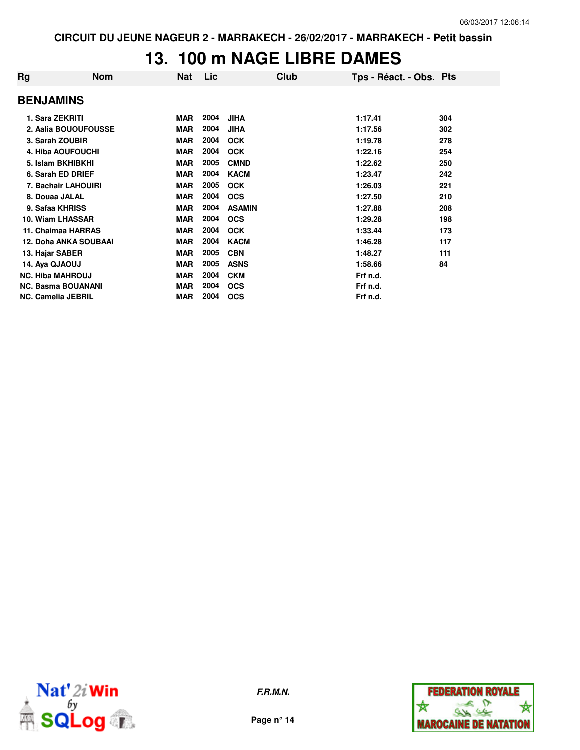#### **13. 100 m NAGE LIBRE DAMES**

| Rg                        | <b>Nom</b>                   | Nat        | Lic  | Club          | Tps - Réact. - Obs. Pts |     |
|---------------------------|------------------------------|------------|------|---------------|-------------------------|-----|
| <b>BENJAMINS</b>          |                              |            |      |               |                         |     |
| 1. Sara ZEKRITI           |                              | <b>MAR</b> | 2004 | <b>JIHA</b>   | 1:17.41                 | 304 |
|                           | 2. Aalia BOUOUFOUSSE         | <b>MAR</b> | 2004 | <b>JIHA</b>   | 1:17.56                 | 302 |
| 3. Sarah ZOUBIR           |                              | <b>MAR</b> | 2004 | <b>OCK</b>    | 1:19.78                 | 278 |
|                           | <b>4. Hiba AOUFOUCHI</b>     | <b>MAR</b> | 2004 | <b>OCK</b>    | 1:22.16                 | 254 |
|                           | 5. Islam BKHIBKHI            | <b>MAR</b> | 2005 | <b>CMND</b>   | 1:22.62                 | 250 |
|                           | 6. Sarah ED DRIEF            | <b>MAR</b> | 2004 | <b>KACM</b>   | 1:23.47                 | 242 |
|                           | 7. Bachair LAHOUIRI          | <b>MAR</b> | 2005 | <b>OCK</b>    | 1:26.03                 | 221 |
| 8. Douaa JALAL            |                              | <b>MAR</b> | 2004 | <b>OCS</b>    | 1:27.50                 | 210 |
| 9. Safaa KHRISS           |                              | <b>MAR</b> | 2004 | <b>ASAMIN</b> | 1:27.88                 | 208 |
| 10. Wiam LHASSAR          |                              | <b>MAR</b> | 2004 | <b>OCS</b>    | 1:29.28                 | 198 |
|                           | 11. Chaimaa HARRAS           | <b>MAR</b> | 2004 | <b>OCK</b>    | 1:33.44                 | 173 |
|                           | <b>12. Doha ANKA SOUBAAI</b> | <b>MAR</b> | 2004 | <b>KACM</b>   | 1:46.28                 | 117 |
| 13. Hajar SABER           |                              | <b>MAR</b> | 2005 | <b>CBN</b>    | 1:48.27                 | 111 |
| 14. Aya QJAOUJ            |                              | <b>MAR</b> | 2005 | <b>ASNS</b>   | 1:58.66                 | 84  |
| <b>NC. Hiba MAHROUJ</b>   |                              | <b>MAR</b> | 2004 | <b>CKM</b>    | Frf n.d.                |     |
|                           | <b>NC. Basma BOUANANI</b>    | <b>MAR</b> | 2004 | <b>OCS</b>    | Frf n.d.                |     |
| <b>NC. Camelia JEBRIL</b> |                              | <b>MAR</b> | 2004 | <b>OCS</b>    | Frf n.d.                |     |



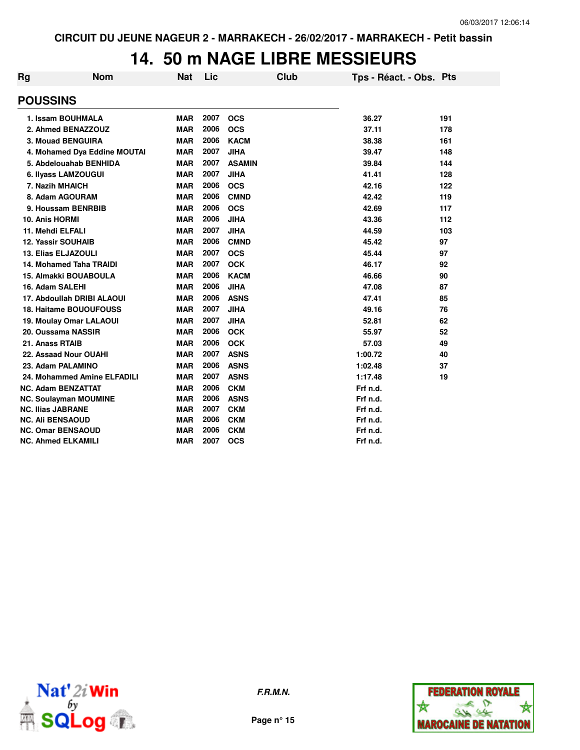### **14. 50 m NAGE LIBRE MESSIEURS**

| Rg | <b>Nom</b>                    | <b>Nat</b> | Lic  |               | Club | Tps - Réact. - Obs. Pts |     |
|----|-------------------------------|------------|------|---------------|------|-------------------------|-----|
|    | <b>POUSSINS</b>               |            |      |               |      |                         |     |
|    | 1. Issam BOUHMALA             | <b>MAR</b> | 2007 | <b>OCS</b>    |      | 36.27                   | 191 |
|    | 2. Ahmed BENAZZOUZ            | <b>MAR</b> | 2006 | <b>OCS</b>    |      | 37.11                   | 178 |
|    | <b>3. Mouad BENGUIRA</b>      | <b>MAR</b> | 2006 | <b>KACM</b>   |      | 38.38                   | 161 |
|    | 4. Mohamed Dya Eddine MOUTAI  | <b>MAR</b> | 2007 | <b>JIHA</b>   |      | 39.47                   | 148 |
|    | 5. Abdelouahab BENHIDA        | <b>MAR</b> | 2007 | <b>ASAMIN</b> |      | 39.84                   | 144 |
|    | 6. Ilyass LAMZOUGUI           | <b>MAR</b> | 2007 | <b>JIHA</b>   |      | 41.41                   | 128 |
|    | 7. Nazih MHAICH               | <b>MAR</b> | 2006 | <b>OCS</b>    |      | 42.16                   | 122 |
|    | 8. Adam AGOURAM               | <b>MAR</b> | 2006 | <b>CMND</b>   |      | 42.42                   | 119 |
|    | 9. Houssam BENRBIB            | <b>MAR</b> | 2006 | <b>OCS</b>    |      | 42.69                   | 117 |
|    | 10. Anis HORMI                | <b>MAR</b> | 2006 | <b>JIHA</b>   |      | 43.36                   | 112 |
|    | 11. Mehdi ELFALI              | <b>MAR</b> | 2007 | <b>JIHA</b>   |      | 44.59                   | 103 |
|    | <b>12. Yassir SOUHAIB</b>     | <b>MAR</b> | 2006 | <b>CMND</b>   |      | 45.42                   | 97  |
|    | <b>13. Elias ELJAZOULI</b>    | <b>MAR</b> | 2007 | <b>OCS</b>    |      | 45.44                   | 97  |
|    | 14. Mohamed Taha TRAIDI       | <b>MAR</b> | 2007 | <b>OCK</b>    |      | 46.17                   | 92  |
|    | <b>15. Almakki BOUABOULA</b>  | <b>MAR</b> | 2006 | <b>KACM</b>   |      | 46.66                   | 90  |
|    | 16. Adam SALEHI               | <b>MAR</b> | 2006 | <b>JIHA</b>   |      | 47.08                   | 87  |
|    | 17. Abdoullah DRIBI ALAOUI    | <b>MAR</b> | 2006 | <b>ASNS</b>   |      | 47.41                   | 85  |
|    | <b>18. Haitame BOUOUFOUSS</b> | <b>MAR</b> | 2007 | <b>JIHA</b>   |      | 49.16                   | 76  |
|    | 19. Moulay Omar LALAOUI       | <b>MAR</b> | 2007 | <b>JIHA</b>   |      | 52.81                   | 62  |
|    | 20. Oussama NASSIR            | <b>MAR</b> | 2006 | <b>OCK</b>    |      | 55.97                   | 52  |
|    | 21. Anass RTAIB               | <b>MAR</b> | 2006 | <b>OCK</b>    |      | 57.03                   | 49  |
|    | 22. Assaad Nour OUAHI         | <b>MAR</b> | 2007 | <b>ASNS</b>   |      | 1:00.72                 | 40  |
|    | 23. Adam PALAMINO             | <b>MAR</b> | 2006 | <b>ASNS</b>   |      | 1:02.48                 | 37  |
|    | 24. Mohammed Amine ELFADILI   | <b>MAR</b> | 2007 | <b>ASNS</b>   |      | 1:17.48                 | 19  |
|    | <b>NC. Adam BENZATTAT</b>     | <b>MAR</b> | 2006 | <b>CKM</b>    |      | Frf n.d.                |     |
|    | <b>NC. Soulayman MOUMINE</b>  | <b>MAR</b> | 2006 | <b>ASNS</b>   |      | Frf n.d.                |     |
|    | <b>NC. Ilias JABRANE</b>      | <b>MAR</b> | 2007 | <b>CKM</b>    |      | Frf n.d.                |     |
|    | <b>NC. Ali BENSAOUD</b>       | <b>MAR</b> | 2006 | <b>CKM</b>    |      | Frf n.d.                |     |
|    | <b>NC. Omar BENSAOUD</b>      | <b>MAR</b> | 2006 | <b>CKM</b>    |      | Frf n.d.                |     |
|    | <b>NC. Ahmed ELKAMILI</b>     | <b>MAR</b> | 2007 | <b>OCS</b>    |      | Frf n.d.                |     |



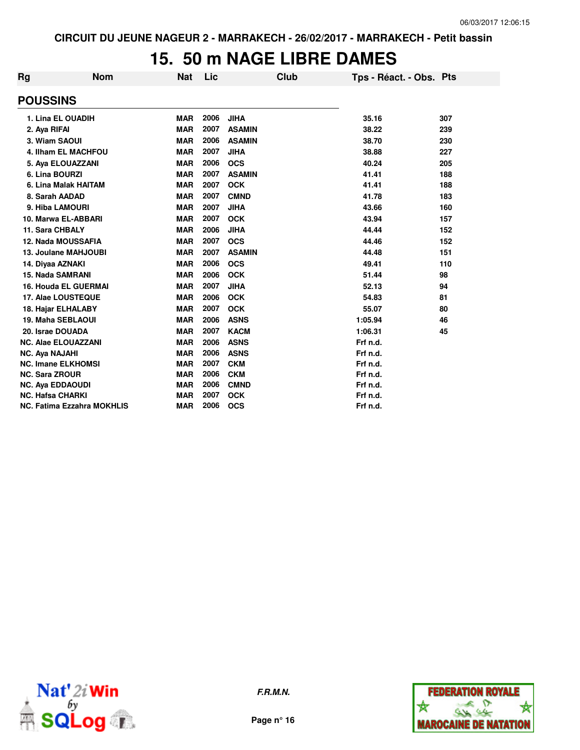#### **15. 50 m NAGE LIBRE DAMES**

| <b>Rg</b>                 | <b>Nom</b>                        | <b>Nat</b> | Lic  |               | Club | Tps - Réact. - Obs. Pts |     |
|---------------------------|-----------------------------------|------------|------|---------------|------|-------------------------|-----|
| <b>POUSSINS</b>           |                                   |            |      |               |      |                         |     |
|                           | 1. Lina EL OUADIH                 | <b>MAR</b> | 2006 | <b>JIHA</b>   |      | 35.16                   | 307 |
| 2. Aya RIFAI              |                                   | <b>MAR</b> | 2007 | <b>ASAMIN</b> |      | 38.22                   | 239 |
| 3. Wiam SAOUI             |                                   | <b>MAR</b> | 2006 | <b>ASAMIN</b> |      | 38.70                   | 230 |
|                           | 4. Ilham EL MACHFOU               | <b>MAR</b> | 2007 | <b>JIHA</b>   |      | 38.88                   | 227 |
|                           | 5. Aya ELOUAZZANI                 | <b>MAR</b> | 2006 | <b>OCS</b>    |      | 40.24                   | 205 |
| 6. Lina BOURZI            |                                   | <b>MAR</b> | 2007 | <b>ASAMIN</b> |      | 41.41                   | 188 |
|                           | 6. Lina Malak HAITAM              | <b>MAR</b> | 2007 | <b>OCK</b>    |      | 41.41                   | 188 |
| 8. Sarah AADAD            |                                   | <b>MAR</b> | 2007 | <b>CMND</b>   |      | 41.78                   | 183 |
| 9. Hiba LAMOURI           |                                   | <b>MAR</b> | 2007 | <b>JIHA</b>   |      | 43.66                   | 160 |
|                           | 10. Marwa EL-ABBARI               | <b>MAR</b> | 2007 | <b>OCK</b>    |      | 43.94                   | 157 |
| 11. Sara CHBALY           |                                   | <b>MAR</b> | 2006 | <b>JIHA</b>   |      | 44.44                   | 152 |
|                           | <b>12. Nada MOUSSAFIA</b>         | <b>MAR</b> | 2007 | <b>OCS</b>    |      | 44.46                   | 152 |
|                           | 13. Joulane MAHJOUBI              | <b>MAR</b> | 2007 | <b>ASAMIN</b> |      | 44.48                   | 151 |
| 14. Diyaa AZNAKI          |                                   | <b>MAR</b> | 2006 | <b>OCS</b>    |      | 49.41                   | 110 |
| <b>15. Nada SAMRANI</b>   |                                   | <b>MAR</b> | 2006 | <b>OCK</b>    |      | 51.44                   | 98  |
|                           | 16. Houda EL GUERMAI              | <b>MAR</b> | 2007 | <b>JIHA</b>   |      | 52.13                   | 94  |
|                           | 17. Alae LOUSTEQUE                | <b>MAR</b> | 2006 | <b>OCK</b>    |      | 54.83                   | 81  |
| 18. Hajar ELHALABY        |                                   | <b>MAR</b> | 2007 | <b>OCK</b>    |      | 55.07                   | 80  |
| <b>19. Maha SEBLAOUI</b>  |                                   | <b>MAR</b> | 2006 | <b>ASNS</b>   |      | 1:05.94                 | 46  |
| 20. Israe DOUADA          |                                   | <b>MAR</b> | 2007 | <b>KACM</b>   |      | 1:06.31                 | 45  |
|                           | <b>NC. Alae ELOUAZZANI</b>        | <b>MAR</b> | 2006 | <b>ASNS</b>   |      | Frf n.d.                |     |
| <b>NC. Ava NAJAHI</b>     |                                   | <b>MAR</b> | 2006 | <b>ASNS</b>   |      | Frf n.d.                |     |
| <b>NC. Imane ELKHOMSI</b> |                                   | <b>MAR</b> | 2007 | <b>CKM</b>    |      | Frf n.d.                |     |
| <b>NC. Sara ZROUR</b>     |                                   | <b>MAR</b> | 2006 | <b>CKM</b>    |      | Frf n.d.                |     |
| <b>NC. Aya EDDAOUDI</b>   |                                   | <b>MAR</b> | 2006 | <b>CMND</b>   |      | Frf n.d.                |     |
| <b>NC. Hafsa CHARKI</b>   |                                   | <b>MAR</b> | 2007 | <b>OCK</b>    |      | Frf n.d.                |     |
|                           | <b>NC. Fatima Ezzahra MOKHLIS</b> | <b>MAR</b> | 2006 | <b>OCS</b>    |      | Frf n.d.                |     |